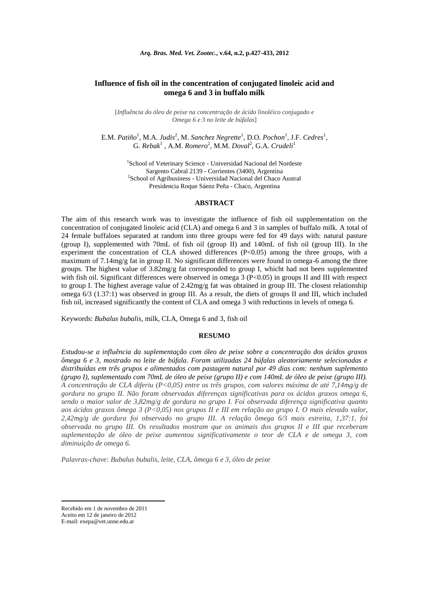# **Influence of fish oil in the concentration of conjugated linoleic acid and omega 6 and 3 in buffalo milk**

[*Influência do óleo de peixe na concentração de ácido linoléico conjugado e Omega 6 e 3 no leite de búfalas*]

E.M. Patiño<sup>1</sup>, M.A. Judis<sup>2</sup>, M. Sanchez Negrette<sup>1</sup>, D.O. Pochon<sup>1</sup>, J.F. Cedres<sup>1</sup>, G. *Rebak*<sup>1</sup>, A.M. *Romero*<sup>2</sup>, M.M. *Doval*<sup>2</sup>, G.A. *Crudeli*<sup>1</sup>

> 1 School of Veterinary Science - Universidad Nacional del Nordeste Sargento Cabral 2139 - Corrientes (3400), Argentina 2 School of Agribusiness - Universidad Nacional del Chaco Austral Presidencia Roque Sáenz Peña - Chaco, Argentina

### **ABSTRACT**

The aim of this research work was to investigate the influence of fish oil supplementation on the concentration of conjugated linoleic acid (CLA) and omega 6 and 3 in samples of buffalo milk. A total of 24 female buffaloes separated at random into three groups were fed for 49 days with: natural pasture (group I), supplemented with 70mL of fish oil (group II) and 140mL of fish oil (group III). In the experiment the concentration of CLA showed differences  $(P<0.05)$  among the three groups, with a maximum of 7.14mg/g fat in group II. No significant differences were found in omega-6 among the three groups. The highest value of  $3.82 \text{mg/g}$  fat corresponded to group I, whicht had not been supplemented with fish oil. Significant differences were observed in omega  $3 (P< 0.05)$  in groups II and III with respect to group I. The highest average value of 2.42mg/g fat was obtained in group III. The closest relationship omega 6/3 (1.37:1) was observed in group III. As a result, the diets of groups II and III, which included fish oil, increased significantly the content of CLA and omega 3 with reductions in levels of omega 6.

Keywords: *Bubalus bubalis*, milk, CLA, Omega 6 and 3, fish oil

#### **RESUMO**

*Estudou-se a influência da suplementação com óleo de peixe sobre a concentração dos ácidos graxos ômega 6 e 3, mostrado no leite de búfala. Foram utilizadas 24 búfalas aleatoriamente selecionadas e distribuídas em três grupos e alimentados com pastagem natural por 49 dias com: nenhum suplemento (grupo I), suplementado com 70mL de óleo de peixe (grupo II) e com 140mL de óleo de peixe (grupo III). A concentração de CLA diferiu (P<0,05) entre os três grupos, com valores máxima de até 7,14mg/g de gordura no grupo II. Não foram observadas diferenças significativas para os ácidos graxos omega 6, sendo o maior valor de 3,82mg/g de gordura no grupo I. Foi observada diferença significativa quanto aos ácidos graxos ômega 3 (P<0,05) nos grupos II e III em relação ao grupo I. O mais elevado valor, 2,42mg/g de gordura foi observado no grupo III. A relação ômega 6/3 mais estreita, 1,37:1, foi observada no grupo III. Os resultados mostram que os animais dos grupos II e III que receberam suplementação de óleo de peixe aumentou significativamente o teor de CLA e de omega 3, com diminuição de omega 6.* 

*Palavras-chave: Bubalus bubalis, leite, CLA, ômega 6 e 3, óleo de peixe*

1

Recebido em 1 de novembro de 2011 Aceito em 12 de janeiro de 2012

E-mail[: exepa@vet.unne.edu.ar](mailto:exepa@vet.unne.edu.ar)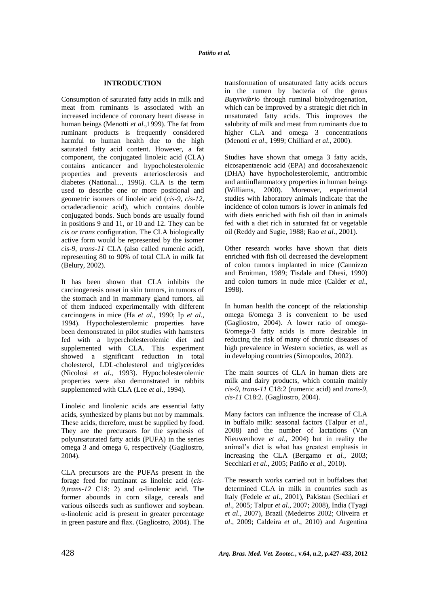# **INTRODUCTION**

Consumption of saturated fatty acids in milk and meat from ruminants is associated with an increased incidence of coronary heart disease in human beings (Menotti *et al*.,1999). The fat from ruminant products is frequently considered harmful to human health due to the high saturated fatty acid content. However, a fat component, the conjugated linoleic acid (CLA) contains anticancer and hypocholesterolemic properties and prevents arteriosclerosis and diabetes (National..., 1996). CLA is the term used to describe one or more positional and geometric isomers of linoleic acid (*cis-9, cis-12*, octadecadienoic acid), which contains double conjugated bonds. Such bonds are usually found in positions 9 and 11, or 10 and 12. They can be *cis or trans* configuration. The CLA biologically active form would be represented by the isomer *cis-9, trans-11* CLA (also called rumenic acid), representing 80 to 90% of total CLA in milk fat (Belury, 2002).

It has been shown that CLA inhibits the carcinogenesis onset in skin tumors, in tumors of the stomach and in mammary gland tumors, all of them induced experimentally with different carcinogens in mice (Ha *et al*., 1990; Ip *et al*., 1994). Hypocholesterolemic properties have been demonstrated in pilot studies with hamsters fed with a hypercholesterolemic diet and supplemented with CLA. This experiment showed a significant reduction in total cholesterol, LDL-cholesterol and triglycerides (Nicolosi *et al*., 1993). Hypocholesterolemic properties were also demonstrated in rabbits supplemented with CLA (Lee *et al*., 1994).

Linoleic and linolenic acids are essential fatty acids, synthesized by plants but not by mammals. These acids, therefore, must be supplied by food. They are the precursors for the synthesis of polyunsaturated fatty acids (PUFA) in the series omega 3 and omega 6, respectively (Gagliostro, 2004).

CLA precursors are the PUFAs present in the forage feed for ruminant as linoleic acid (*cis-9,trans-12* C18: 2) and α-linolenic acid. The former abounds in corn silage, cereals and various oilseeds such as sunflower and soybean. α-linolenic acid is present in greater percentage in green pasture and flax. (Gagliostro, 2004). The transformation of unsaturated fatty acids occurs in the rumen by bacteria of the genus *Butyrivibrio* through ruminal biohydrogenation, which can be improved by a strategic diet rich in unsaturated fatty acids. This improves the salubrity of milk and meat from ruminants due to higher CLA and omega 3 concentrations (Menotti *et al*., 1999; Chilliard *et al*., 2000).

Studies have shown that omega 3 fatty acids, eicosapentaenoic acid (EPA) and docosahexaenoic (DHA) have hypocholesterolemic, antitrombic and antiinflammatory properties in human beings (Williams, 2000). Moreover, experimental studies with laboratory animals indicate that the incidence of colon tumors is lower in animals fed with diets enriched with fish oil than in animals fed with a diet rich in saturated fat or vegetable oil (Reddy and Sugie, 1988; Rao *et al*., 2001).

Other research works have shown that diets enriched with fish oil decreased the development of colon tumors implanted in mice (Cannizzo and Broitman, 1989; Tisdale and Dhesi, 1990) and colon tumors in nude mice (Calder *et al*., 1998).

In human health the concept of the relationship omega 6/omega 3 is convenient to be used (Gagliostro, 2004). A lower ratio of omega-6/omega-3 fatty acids is more desirable in reducing the risk of many of chronic diseases of high prevalence in Western societies, as well as in developing countries (Simopoulos, 2002).

The main sources of CLA in human diets are milk and dairy products, which contain mainly *cis-9, trans-11* C18:2 (rumenic acid) and *trans-9, cis-11* C18:2. (Gagliostro, 2004).

Many factors can influence the increase of CLA in buffalo milk: seasonal factors (Talpur *et al*., 2008) and the number of lactations (Van Nieuwenhove *et al*., 2004) but in reality the animal's diet is what has greatest emphasis in increasing the CLA (Bergamo *et al.,* 2003; Secchiari *et al*., 2005; Patiño *et al*., 2010).

The research works carried out in buffaloes that determined CLA in milk in countries such as Italy (Fedele *et al*., 2001), Pakistan (Sechiari *et al*., 2005; Talpur *et al*., 2007; 2008), India (Tyagi *et al*., 2007), Brazil (Medeiros 2002; Oliveira *et al*., 2009; Caldeira *et al*., 2010) and Argentina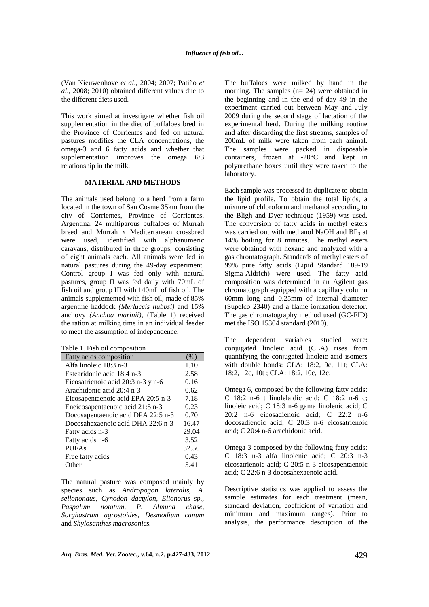(Van Nieuwenhove *et al*., 2004; 2007; Patiño *et al*., 2008; 2010) obtained different values due to the different diets used.

This work aimed at investigate whether fish oil supplementation in the diet of buffaloes bred in the Province of Corrientes and fed on natural pastures modifies the CLA concentrations, the omega-3 and 6 fatty acids and whether that supplementation improves the omega 6/3 relationship in the milk.

## **MATERIAL AND METHODS**

The animals used belong to a herd from a farm located in the town of San Cosme 35km from the city of Corrientes, Province of Corrientes, Argentina. 24 multiparous buffaloes of Murrah breed and Murrah x Mediterranean crossbred were used, identified with alphanumeric caravans, distributed in three groups, consisting of eight animals each. All animals were fed in natural pastures during the 49-day experiment. Control group I was fed only with natural pastures, group II was fed daily with 70mL of fish oil and group III with 140mL of fish oil. The animals supplemented with fish oil, made of 85% argentine haddock *(Merluccis hubbsi)* and 15% anchovy *(Anchoa marinii),* (Table 1) received the ration at milking time in an individual feeder to meet the assumption of independence.

Table 1. Fish oil composition

| Fatty acids composition            | (%)   |
|------------------------------------|-------|
| Alfa linoleic 18:3 n-3             | 1.10  |
| Estearidonic acid 18:4 n-3         | 2.58  |
| Eicosatrienoic acid 20:3 n-3 y n-6 | 0.16  |
| Arachidonic acid 20:4 n-3          | 0.62  |
| Eicosapentaenoic acid EPA 20:5 n-3 | 7.18  |
| Eneicosapentaenoic acid 21:5 n-3   | 0.23  |
| Docosapentaenoic acid DPA 22:5 n-3 | 0.70  |
| Docosahexaenoic acid DHA 22:6 n-3  | 16.47 |
| Fatty acids n-3                    | 29.04 |
| Fatty acids n-6                    | 3.52  |
| <b>PUFAs</b>                       | 32.56 |
| Free fatty acids                   | 0.43  |
| Other                              | 5.41  |

The natural pasture was composed mainly by species such as *Andropogon lateralis, A. sellononaus, Cynodon dactylon, Elionorus sp., Paspalum notatum, P. Almuna chase, Sorghastrum agrostoides, Desmodium canum* and *Shylosanthes macrosonics.*

The buffaloes were milked by hand in the morning. The samples (n= 24) were obtained in the beginning and in the end of day 49 in the experiment carried out between May and July 2009 during the second stage of lactation of the experimental herd. During the milking routine and after discarding the first streams, samples of 200mL of milk were taken from each animal. The samples were packed in disposable containers, frozen at -20°C and kept in polyurethane boxes until they were taken to the laboratory.

Each sample was processed in duplicate to obtain the lipid profile. To obtain the total lipids, a mixture of chloroform and methanol according to the Bligh and Dyer technique (1959) was used. The conversion of fatty acids in methyl esters was carried out with methanol NaOH and  $BF<sub>3</sub>$  at 14% boiling for 8 minutes. The methyl esters were obtained with hexane and analyzed with a gas chromatograph. Standards of methyl esters of 99% pure fatty acids (Lipid Standard 189-19 Sigma-Aldrich) were used. The fatty acid composition was determined in an Agilent gas chromatograph equipped with a capillary column 60mm long and 0.25mm of internal diameter (Supelco 2340) and a flame ionization detector. The gas chromatography method used (GC-FID) met the ISO 15304 standard (2010).

The dependent variables studied were: conjugated linoleic acid (CLA) rises from quantifying the conjugated linoleic acid isomers with double bonds: CLA: 18:2, 9c, 11t; CLA: 18:2, 12c, 10t ; CLA: 18:2, 10c, 12c.

Omega 6, composed by the following fatty acids: C 18:2 n-6 t linolelaidic acid; C 18:2 n-6 c; linoleic acid; C 18:3 n-6 gama linolenic acid; C 20:2 n-6 eicosadienoic acid; C 22:2 n-6 docosadienoic acid; C 20:3 n-6 eicosatrienoic acid; C 20:4 n-6 arachidonic acid.

Omega 3 composed by the following fatty acids: C 18:3 n-3 alfa linolenic acid; C 20:3 n-3 eicosatrienoic acid; C 20:5 n-3 eicosapentaenoic acid; C 22:6 n-3 docosahexaenoic acid.

Descriptive statistics was applied to assess the sample estimates for each treatment (mean, standard deviation, coefficient of variation and minimum and maximum ranges). Prior to analysis, the performance description of the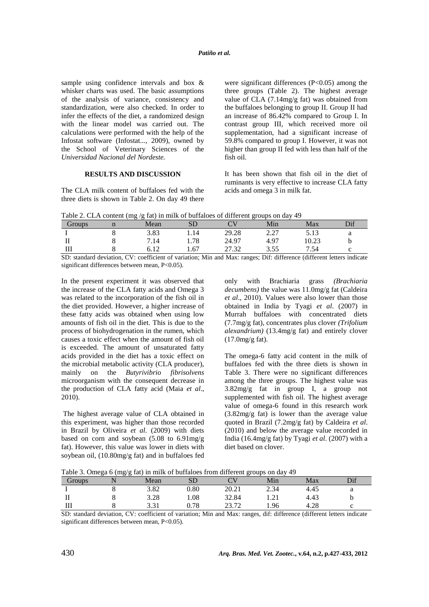sample using confidence intervals and box & whisker charts was used. The basic assumptions of the analysis of variance, consistency and standardization, were also checked. In order to infer the effects of the diet, a randomized design with the linear model was carried out. The calculations were performed with the help of the Infostat software (Infostat..., 2009), owned by the School of Veterinary Sciences of the *Universidad Nacional del Nordeste.* 

### **RESULTS AND DISCUSSION**

The CLA milk content of buffaloes fed with the three diets is shown in Table 2. On day 49 there were significant differences (P<0.05) among the three groups (Table 2). The highest average value of CLA (7.14mg/g fat) was obtained from the buffaloes belonging to group II. Group II had an increase of 86.42% compared to Group I. In contrast group III, which received more oil supplementation, had a significant increase of 59.8% compared to group I. However, it was not higher than group II fed with less than half of the fish oil.

It has been shown that fish oil in the diet of ruminants is very effective to increase CLA fatty acids and omega 3 in milk fat.

Table 2. CLA content (mg /g fat) in milk of buffaloes of different groups on day 49

| Groups  | - -<br>Mean | SD   | $\cap$ | Min         | Max   | Dif |
|---------|-------------|------|--------|-------------|-------|-----|
|         | 3.83        | 1.14 | 29.28  | າ າາ<br>4.4 | 5.13  |     |
| п       | 7.14        | 1.78 | 24.97  | 4.97        | 10.23 |     |
| тт<br>ш | 6.12        | 1.67 | 27.32  | 3.55        | 7.54  |     |

SD: standard deviation, CV: coefficient of variation; Min and Max: ranges; Dif: difference (different letters indicate significant differences between mean, P<0.05).

In the present experiment it was observed that the increase of the CLA fatty acids and Omega 3 was related to the incorporation of the fish oil in the diet provided. However, a higher increase of these fatty acids was obtained when using low amounts of fish oil in the diet. This is due to the process of biohydrogenation in the rumen, which causes a toxic effect when the amount of fish oil is exceeded. The amount of unsaturated fatty acids provided in the diet has a toxic effect on the microbial metabolic activity (CLA producer), mainly on the *Butyrivibrio fibrisolvens* microorganism with the consequent decrease in the production of CLA fatty acid (Maia *et al*., 2010).

The highest average value of CLA obtained in this experiment, was higher than those recorded in Brazil by Oliveira *et al*. (2009) with diets based on corn and soybean (5.08 to 6.91mg/g fat). However, this value was lower in diets with soybean oil, (10.80mg/g fat) and in buffaloes fed only with Brachiaria grass *(Brachiaria decumbens)* the value was 11.0mg/g fat (Caldeira *et al*., 2010). Values were also lower than those obtained in India by Tyagi *et al*. (2007) in Murrah buffaloes with concentrated diets (7.7mg/g fat), concentrates plus clover *(Trifolium alexandrium)* (13.4mg/g fat) and entirely clover (17.0mg/g fat).

The omega-6 fatty acid content in the milk of buffaloes fed with the three diets is shown in Table 3. There were no significant differences among the three groups. The highest value was 3.82mg/g fat in group I, a group not supplemented with fish oil. The highest average value of omega-6 found in this research work (3.82mg/g fat) is lower than the average value quoted in Brazil (7.2mg/g fat) by Caldeira *et al*. (2010) and below the average value recorded in India (16.4mg/g fat) by Tyagi *et al*. (2007) with a diet based on clover.

Table 3. Omega 6 (mg/g fat) in milk of buffaloes from different groups on day 49

| Groups | Mean |      |       | Min  | Max  | Dif |
|--------|------|------|-------|------|------|-----|
|        | 3.82 | 0.80 | 20.21 | 2.34 | 4.45 |     |
| 11     | 3.28 | .08  | 32.84 | 1.41 | 4.43 |     |
| Ш      | 221  | 0.78 | າາ 71 | 1.96 | 4.28 |     |

SD: standard deviation, CV: coefficient of variation; Min and Max: ranges, dif: difference (different letters indicate significant differences between mean, P<0.05).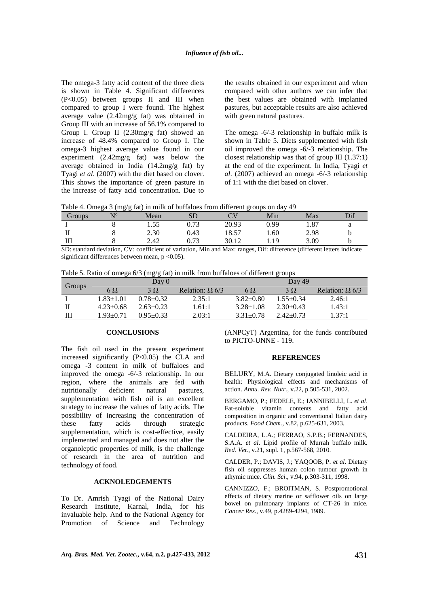The omega-3 fatty acid content of the three diets is shown in Table 4. Significant differences (P<0.05) between groups II and III when compared to group I were found. The highest average value (2.42mg/g fat) was obtained in Group III with an increase of 56.1% compared to Group I. Group II (2.30mg/g fat) showed an increase of 48.4% compared to Group I. The omega-3 highest average value found in our experiment (2.42mg/g fat) was below the average obtained in India (14.2mg/g fat) by Tyagi *et al*. (2007) with the diet based on clover. This shows the importance of green pasture in the increase of fatty acid concentration. Due to the results obtained in our experiment and when compared with other authors we can infer that the best values are obtained with implanted pastures, but acceptable results are also achieved with green natural pastures.

The omega -6/-3 relationship in buffalo milk is shown in Table 5. Diets supplemented with fish oil improved the omega -6/-3 relationship. The closest relationship was that of group III (1.37:1) at the end of the experiment. In India, Tyagi *et al*. (2007) achieved an omega -6/-3 relationship of 1:1 with the diet based on clover.

| Table 4. Omega 3 (mg/g fat) in milk of buffaloes from different groups on day 49 |  |  |  |  |  |
|----------------------------------------------------------------------------------|--|--|--|--|--|
|----------------------------------------------------------------------------------|--|--|--|--|--|

| Groups | N <sub>0</sub> | Mean | <b>SD</b>  |       | Min      | Max  | Dif |
|--------|----------------|------|------------|-------|----------|------|-----|
|        |                | 1.55 | 0.73       | 20.93 | 0.99     | 1.87 |     |
|        |                | 2.30 | 0.43       | 18.57 | 1.60     | 2.98 | D   |
|        |                | 2.42 | 0.73       | 30.12 | 1.19     | 3.09 |     |
| $-$    | .<br>____      |      | .<br>$  -$ | .     | ________ | .    | .   |

SD: standard deviation, CV: coefficient of variation, Min and Max: ranges, Dif: difference (different letters indicate significant differences between mean,  $p < 0.05$ ).

|  |  |  | Table 5. Ratio of omega $6/3$ (mg/g fat) in milk from buffaloes of different groups |
|--|--|--|-------------------------------------------------------------------------------------|
|  |  |  |                                                                                     |

|        |                 | Dav 0         |                        |                 | Day 49        |                        |
|--------|-----------------|---------------|------------------------|-----------------|---------------|------------------------|
| Groups | $6\Omega$       | $3\Omega$     | Relation: $\Omega$ 6/3 | 6 $\Omega$      | $3\Omega$     | Relation: $\Omega$ 6/3 |
|        | $1.83 \pm 1.01$ | $0.78 + 0.32$ | 2.35:1                 | $3.82 \pm 0.80$ | $1.55 + 0.34$ | 2.46:1                 |
|        | $4.23 \pm 0.68$ | $2.63 + 0.23$ | 1.61:1                 | $3.28 \pm 1.08$ | $2.30 + 0.43$ | 1.43:1                 |
|        | 1.93+0.71       | $0.95 + 0.33$ | 2.03:1                 | $3.31 + 0.78$   | $2.42 + 0.73$ | 1.37:1                 |

#### **CONCLUSIONS**

The fish oil used in the present experiment increased significantly (P<0.05) the CLA and omega -3 content in milk of buffaloes and improved the omega -6/-3 relationship. In our region, where the animals are fed with nutritionally deficient natural pastures, supplementation with fish oil is an excellent strategy to increase the values of fatty acids. The possibility of increasing the concentration of these fatty acids through strategic supplementation, which is cost-effective, easily implemented and managed and does not alter the organoleptic properties of milk, is the challenge of research in the area of nutrition and technology of food.

## **ACKNOLEDGEMENTS**

To Dr. Amrish Tyagi of the National Dairy Research Institute, Karnal, India, for his invaluable help. And to the National Agency for Promotion of Science and Technology (ANPCyT) Argentina, for the funds contributed to PICTO-UNNE - 119.

#### **REFERENCES**

BELURY, M.A. Dietary conjugated linoleic acid in health: Physiological effects and mechanisms of action. *Annu. Rev. Nutr.*, v.22, p.505-531, 2002.

BERGAMO, P.; FEDELE, E.; IANNIBELLI, L. *et al*. Fat-soluble vitamin contents and fatty acid composition in organic and conventional Italian dairy products. *Food Chem.,* v.82, p.625-631, 2003.

CALDEIRA, L.A.; FERRAO, S.P.B.; FERNANDES, S.A.A. *et al*. Lipid profile of Murrah buffalo milk. *Red. Vet.*, v.21, supl. 1, p.567-568, 2010.

CALDER, P.; DAVIS, J.; YAQOOB, P. *et al*. Dietary fish oil suppresses human colon tumour growth in athymic mice. *Clin. Sci*., v.94, p.303-311, 1998.

CANNIZZO, F.; BROITMAN, S. Postpromotional effects of dietary marine or safflower oils on large bowel on pulmonary implants of CT-26 in mice. *Cancer Res.,* v.49, p.4289-4294, 1989.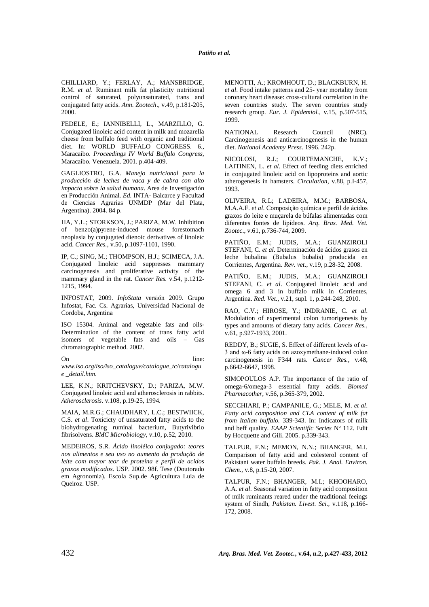CHILLIARD, Y.; FERLAY, A.; MANSBRIDGE, R.M. *et al*. Ruminant milk fat plasticity nutritional control of saturated, polyunsaturated, trans and conjugated fatty acids. *Ann. Zootech*., v.49, p.181-205, 2000.

FEDELE, E.; IANNIBELLI, L., MARZILLO, G. Conjugated linoleic acid content in milk and mozarella cheese from buffalo feed with organic and traditional diet. In: WORLD BUFFALO CONGRESS*.* 6., Maracaibo. *Proceedings IV World Buffalo Congress,* Maracaibo. Venezuela. 2001. p.404-409.

GAGLIOSTRO, G.A. *Manejo nutricional para la producción de leches de vaca y de cabra con alto impacto sobre la salud humana*. Area de Investigación en Producción Animal*. Ed.* INTA- Balcarce y Facultad de Ciencias Agrarias UNMDP (Mar del Plata, Argentina). 2004. 84 p.

HA, Y.L.; STORKSON, J.; PARIZA, M.W. Inhibition of benzo(a)pyrene-induced mouse forestomach neoplasia by conjugated dienoic derivatives of linoleic acid. *Cancer Res.,* v.50, p.1097-1101, 1990.

IP, C.; SING, M.; THOMPSON, H.J.; SCIMECA, J.A. Conjugated linoleic acid suppresses mammary carcinogenesis and proliferative activity of the mammary gland in the rat. *Cancer Res.* v.54, p.1212- 1215, 1994.

INFOSTAT, 2009. *InfoStata* versión 2009. Grupo Infostat, Fac. Cs. Agrarias, Universidad Nacional de Cordoba, Argentina

ISO 15304. Animal and vegetable fats and oils-Determination of the content of trans fatty acid isomers of vegetable fats and oils – Gas chromatographic method. 2002.

On line: *www.iso.org/iso/iso\_catalogue/catalogue\_tc/catalogu e \_detail.htm.*

LEE, K.N.; KRITCHEVSKY, D.; PARIZA, M.W. Conjugated linoleic acid and atherosclerosis in rabbits. *Atherosclerosis*. v.108, p.19-25, 1994.

MAIA, M.R.G.; CHAUDHARY, L.C.; BESTWIICK, C.S. *et al*. Toxicicty of unsaturated fatty acids to the biohydrogenating ruminal bacterium, Butyrivibrio fibrisolvens. *BMC Microbiology,* v.10, p.52, 2010.

MEDEIROS, S.R. *Ácido linoléico conjugado: teores nos alimentos e seu uso no aumento da produção de leite com mayor teor de proteína e perfil de acidos graxos modificados*. USP. 2002. 98f. Tese (Doutorado em Agronomia). Escola Sup.de Agricultura Luia de Queiroz. USP.

MENOTTI, A.; KROMHOUT, D.; BLACKBURN, H. *et al*. Food intake patterns and 25- year mortality from coronary heart disease: cross-cultural correlation in the seven countries study. The seven countries study research group. *Eur. J. Epidemiol.,* v.15, p.507-515, 1999.

NATIONAL Research Council (NRC). Carcinogenesis and anticarcinogenesis in the human diet. *National Academy Press*. 1996. 242p.

NICOLOSI, R.J.; COURTEMANCHE, K.V.; LAITINEN, L. et al. Effect of feeding diets enriched in conjugated linoleic acid on lipoproteins and aortic atherogenesis in hamsters. *Circulation*, v.88, p.I-457, 1993.

OLIVEIRA, R.L; LADEIRA, M.M.; BARBOSA, M.A.A.F. *et al*. Composição química e perfil de ácidos graxos do leite e muçarela de búfalas alimentadas com diferentes fontes de lipídeos. *Arq. Bras. Med. Vet. Zootec*., v.61, p.736-744, 2009.

PATIÑO, E.M.; JUDIS, M.A.; GUANZIROLI STEFANI, C. *et al*. Determinación de ácidos grasos en leche bubalina (Bubalus bubalis) producida en Corrientes, Argentina. *Rev. vet*., v.19, p.28-32, 2008.

PATIÑO, E.M.; JUDIS, M.A.; GUANZIROLI STEFANI, C. *et al*. Conjugated linoleic acid and omega 6 and 3 in buffalo milk in Corrientes, Argentina. *Red. Vet.*, v.21, supl. 1, p.244-248, 2010.

RAO, C.V.; HIROSE, Y.; INDRANIE, C. *et al*. Modulation of experimental colon tumorigenesis by types and amounts of dietary fatty acids. *Cancer Res.,* v.61, p.927-1933, 2001.

REDDY, B.; SUGIE, S. Effect of different levels of ω-3 and ω-6 fatty acids on azoxymethane-induced colon carcinogenesis in F344 rats. *Cancer Res.,* v.48, p.6642-6647, 1998.

SIMOPOULOS A.P. The importance of the ratio of omega-6/omega-3 essential fatty acids. *Biomed Pharmacother,* v.56, p.365-379, 2002.

SECCHIARI, P.; CAMPANILE, G.; MELE, M. *et al*. *Fatty acid composition and CLA content of milk fat from Italian buffalo.* 339-343. In: Indicators of milk and beff quality. *EAAP Scientific Series* Nº 112. Edit by Hocquette and Gili. 2005. p.339-343.

TALPUR, F.N.; MEMON, N.N.; BHANGER, M.I. Comparison of fatty acid and colesterol content of Pakistani water buffalo breeds. *Pak. J. Anal. Environ. Chem.*, v.8, p.15-20, 2007.

TALPUR, F.N.; BHANGER, M.I.; KHOOHARO, A.A. *et al*. Seasonal variation in fatty acid composition of milk ruminants reared under the traditional feeings system of Sindh, *Pakistan. Livest. Sci.,* v.118, p.166- 172, 2008.